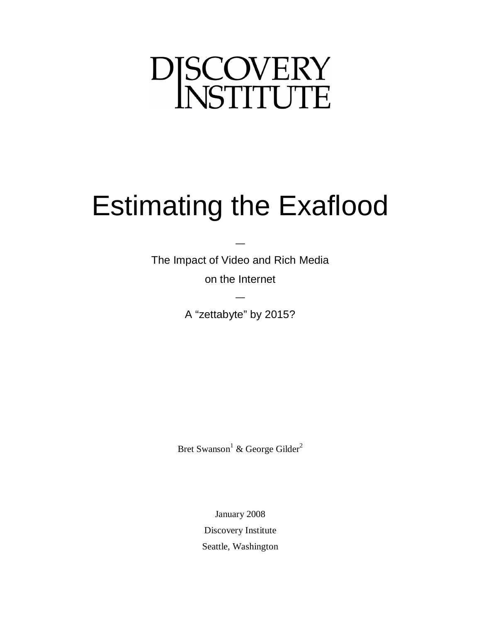# DJSCOVERY

# Estimating the Exaflood

The Impact of Video and Rich Media on the Internet

—

A "zettabyte" by 2015?

—

Bret Swanson<sup>1</sup> & George Gilder<sup>2</sup>

January 2008 Discovery Institute Seattle, Washington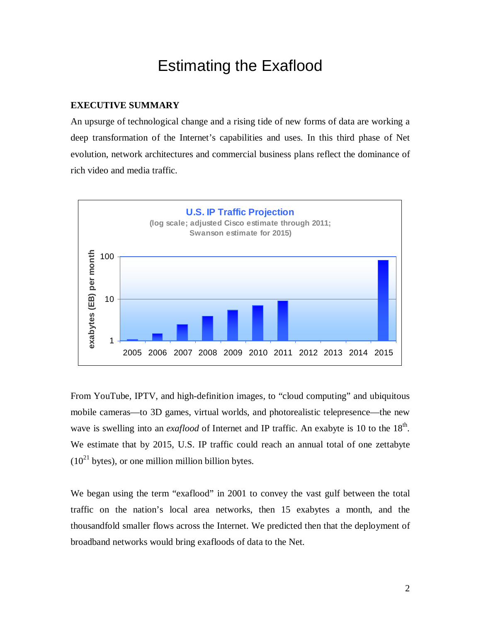# Estimating the Exaflood

# **EXECUTIVE SUMMARY**

An upsurge of technological change and a rising tide of new forms of data are working a deep transformation of the Internet's capabilities and uses. In this third phase of Net evolution, network architectures and commercial business plans reflect the dominance of rich video and media traffic.



From YouTube, IPTV, and high-definition images, to "cloud computing" and ubiquitous mobile cameras—to 3D games, virtual worlds, and photorealistic telepresence—the new wave is swelling into an *exaflood* of Internet and IP traffic. An exabyte is 10 to the 18<sup>th</sup>. We estimate that by 2015, U.S. IP traffic could reach an annual total of one zettabyte  $(10^{21}$  bytes), or one million million billion bytes.

We began using the term "exaflood" in 2001 to convey the vast gulf between the total traffic on the nation's local area networks, then 15 exabytes a month, and the thousandfold smaller flows across the Internet. We predicted then that the deployment of broadband networks would bring exafloods of data to the Net.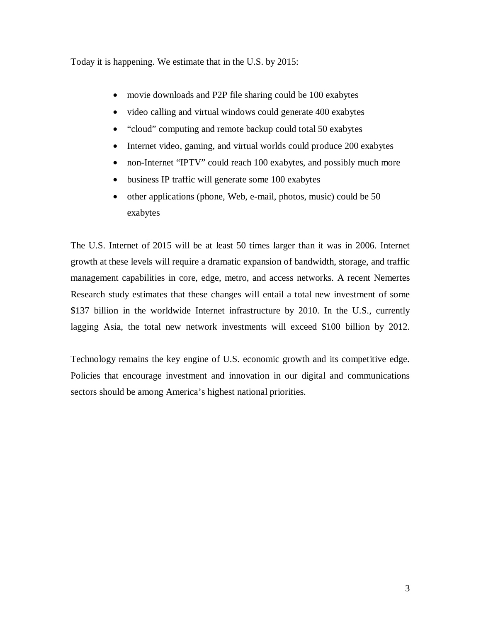Today it is happening. We estimate that in the U.S. by 2015:

- movie downloads and P2P file sharing could be 100 exabytes
- video calling and virtual windows could generate 400 exabytes
- "cloud" computing and remote backup could total 50 exabytes
- Internet video, gaming, and virtual worlds could produce 200 exabytes
- non-Internet "IPTV" could reach 100 exabytes, and possibly much more
- business IP traffic will generate some 100 exabytes
- other applications (phone, Web, e-mail, photos, music) could be 50 exabytes

The U.S. Internet of 2015 will be at least 50 times larger than it was in 2006. Internet growth at these levels will require a dramatic expansion of bandwidth, storage, and traffic management capabilities in core, edge, metro, and access networks. A recent Nemertes Research study estimates that these changes will entail a total new investment of some \$137 billion in the worldwide Internet infrastructure by 2010. In the U.S., currently lagging Asia, the total new network investments will exceed \$100 billion by 2012.

Technology remains the key engine of U.S. economic growth and its competitive edge. Policies that encourage investment and innovation in our digital and communications sectors should be among America's highest national priorities.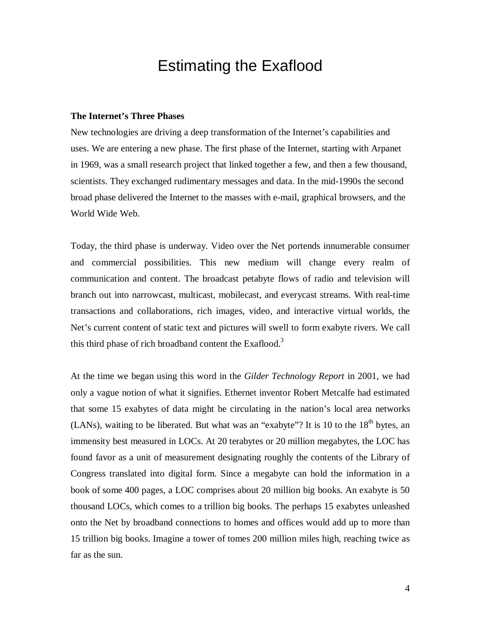# Estimating the Exaflood

# **The Internet's Three Phases**

New technologies are driving a deep transformation of the Internet's capabilities and uses. We are entering a new phase. The first phase of the Internet, starting with Arpanet in 1969, was a small research project that linked together a few, and then a few thousand, scientists. They exchanged rudimentary messages and data. In the mid-1990s the second broad phase delivered the Internet to the masses with e-mail, graphical browsers, and the World Wide Web.

Today, the third phase is underway. Video over the Net portends innumerable consumer and commercial possibilities. This new medium will change every realm of communication and content. The broadcast petabyte flows of radio and television will branch out into narrowcast, multicast, mobilecast, and everycast streams. With real-time transactions and collaborations, rich images, video, and interactive virtual worlds, the Net's current content of static text and pictures will swell to form exabyte rivers. We call this third phase of rich broadband content the Exaflood.<sup>3</sup>

At the time we began using this word in the *Gilder Technology Report* in 2001, we had only a vague notion of what it signifies. Ethernet inventor Robert Metcalfe had estimated that some 15 exabytes of data might be circulating in the nation's local area networks (LANs), waiting to be liberated. But what was an "exabyte"? It is 10 to the  $18<sup>th</sup>$  bytes, an immensity best measured in LOCs. At 20 terabytes or 20 million megabytes, the LOC has found favor as a unit of measurement designating roughly the contents of the Library of Congress translated into digital form. Since a megabyte can hold the information in a book of some 400 pages, a LOC comprises about 20 million big books. An exabyte is 50 thousand LOCs, which comes to a trillion big books. The perhaps 15 exabytes unleashed onto the Net by broadband connections to homes and offices would add up to more than 15 trillion big books. Imagine a tower of tomes 200 million miles high, reaching twice as far as the sun.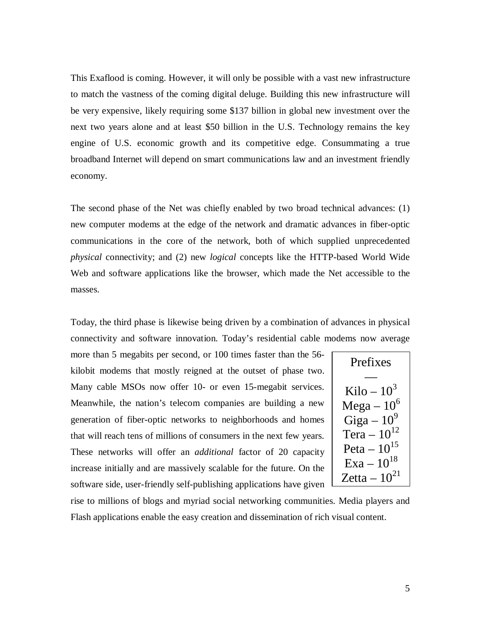This Exaflood is coming. However, it will only be possible with a vast new infrastructure to match the vastness of the coming digital deluge. Building this new infrastructure will be very expensive, likely requiring some \$137 billion in global new investment over the next two years alone and at least \$50 billion in the U.S. Technology remains the key engine of U.S. economic growth and its competitive edge. Consummating a true broadband Internet will depend on smart communications law and an investment friendly economy.

The second phase of the Net was chiefly enabled by two broad technical advances: (1) new computer modems at the edge of the network and dramatic advances in fiber-optic communications in the core of the network, both of which supplied unprecedented *physical* connectivity; and (2) new *logical* concepts like the HTTP-based World Wide Web and software applications like the browser, which made the Net accessible to the masses.

Today, the third phase is likewise being driven by a combination of advances in physical connectivity and software innovation. Today's residential cable modems now average

more than 5 megabits per second, or 100 times faster than the 56 kilobit modems that mostly reigned at the outset of phase two. Many cable MSOs now offer 10- or even 15-megabit services. Meanwhile, the nation's telecom companies are building a new generation of fiber-optic networks to neighborhoods and homes that will reach tens of millions of consumers in the next few years. These networks will offer an *additional* factor of 20 capacity increase initially and are massively scalable for the future. On the software side, user-friendly self-publishing applications have given

| Prefixes          |
|-------------------|
|                   |
| Kilo – $10^3$     |
| $Mega-10^6$       |
| Giga – $10^9$     |
| Tera $-10^{12}$   |
| Peta $-10^{15}$   |
| $Exa - 10^{18}$   |
| Zetta – $10^{21}$ |

rise to millions of blogs and myriad social networking communities. Media players and Flash applications enable the easy creation and dissemination of rich visual content.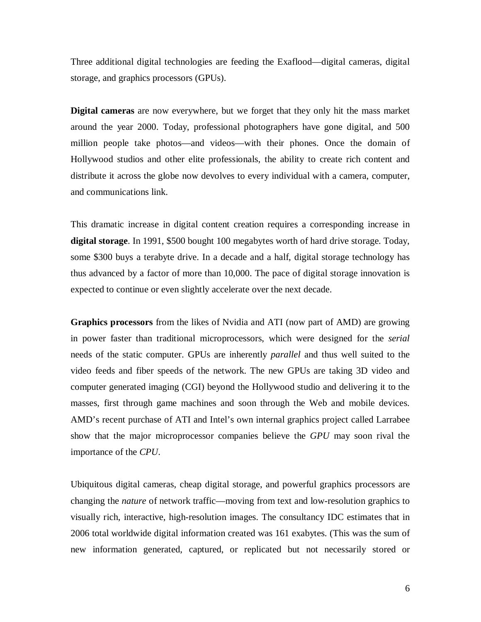Three additional digital technologies are feeding the Exaflood—digital cameras, digital storage, and graphics processors (GPUs).

**Digital cameras** are now everywhere, but we forget that they only hit the mass market around the year 2000. Today, professional photographers have gone digital, and 500 million people take photos—and videos—with their phones. Once the domain of Hollywood studios and other elite professionals, the ability to create rich content and distribute it across the globe now devolves to every individual with a camera, computer, and communications link.

This dramatic increase in digital content creation requires a corresponding increase in **digital storage**. In 1991, \$500 bought 100 megabytes worth of hard drive storage. Today, some \$300 buys a terabyte drive. In a decade and a half, digital storage technology has thus advanced by a factor of more than 10,000. The pace of digital storage innovation is expected to continue or even slightly accelerate over the next decade.

**Graphics processors** from the likes of Nvidia and ATI (now part of AMD) are growing in power faster than traditional microprocessors, which were designed for the *serial* needs of the static computer. GPUs are inherently *parallel* and thus well suited to the video feeds and fiber speeds of the network. The new GPUs are taking 3D video and computer generated imaging (CGI) beyond the Hollywood studio and delivering it to the masses, first through game machines and soon through the Web and mobile devices. AMD's recent purchase of ATI and Intel's own internal graphics project called Larrabee show that the major microprocessor companies believe the *GPU* may soon rival the importance of the *CPU*.

Ubiquitous digital cameras, cheap digital storage, and powerful graphics processors are changing the *nature* of network traffic—moving from text and low-resolution graphics to visually rich, interactive, high-resolution images. The consultancy IDC estimates that in 2006 total worldwide digital information created was 161 exabytes. (This was the sum of new information generated, captured, or replicated but not necessarily stored or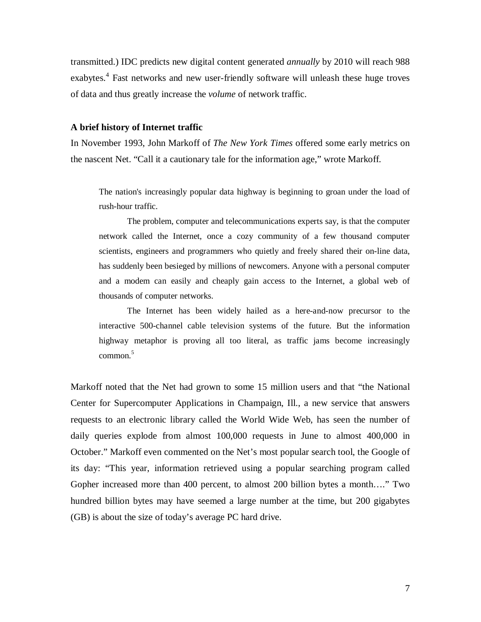transmitted.) IDC predicts new digital content generated *annually* by 2010 will reach 988 exabytes.<sup>4</sup> Fast networks and new user-friendly software will unleash these huge troves of data and thus greatly increase the *volume* of network traffic.

# **A brief history of Internet traffic**

In November 1993, John Markoff of *The New York Times* offered some early metrics on the nascent Net. "Call it a cautionary tale for the information age," wrote Markoff.

The nation's increasingly popular data highway is beginning to groan under the load of rush-hour traffic.

The problem, computer and telecommunications experts say, is that the computer network called the Internet, once a cozy community of a few thousand computer scientists, engineers and programmers who quietly and freely shared their on-line data, has suddenly been besieged by millions of newcomers. Anyone with a personal computer and a modem can easily and cheaply gain access to the Internet, a global web of thousands of computer networks.

The Internet has been widely hailed as a here-and-now precursor to the interactive 500-channel cable television systems of the future. But the information highway metaphor is proving all too literal, as traffic jams become increasingly  $common<sup>5</sup>$ 

Markoff noted that the Net had grown to some 15 million users and that "the National Center for Supercomputer Applications in Champaign, Ill., a new service that answers requests to an electronic library called the World Wide Web, has seen the number of daily queries explode from almost 100,000 requests in June to almost 400,000 in October." Markoff even commented on the Net's most popular search tool, the Google of its day: "This year, information retrieved using a popular searching program called Gopher increased more than 400 percent, to almost 200 billion bytes a month…." Two hundred billion bytes may have seemed a large number at the time, but 200 gigabytes (GB) is about the size of today's average PC hard drive.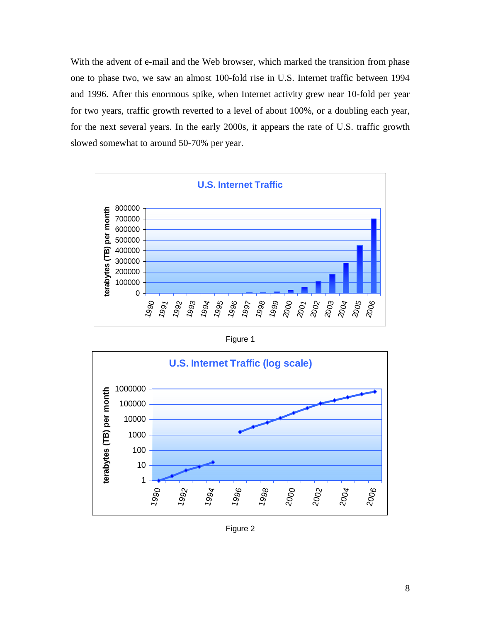With the advent of e-mail and the Web browser, which marked the transition from phase one to phase two, we saw an almost 100-fold rise in U.S. Internet traffic between 1994 and 1996. After this enormous spike, when Internet activity grew near 10-fold per year for two years, traffic growth reverted to a level of about 100%, or a doubling each year, for the next several years. In the early 2000s, it appears the rate of U.S. traffic growth slowed somewhat to around 50-70% per year.



Figure 1



Figure 2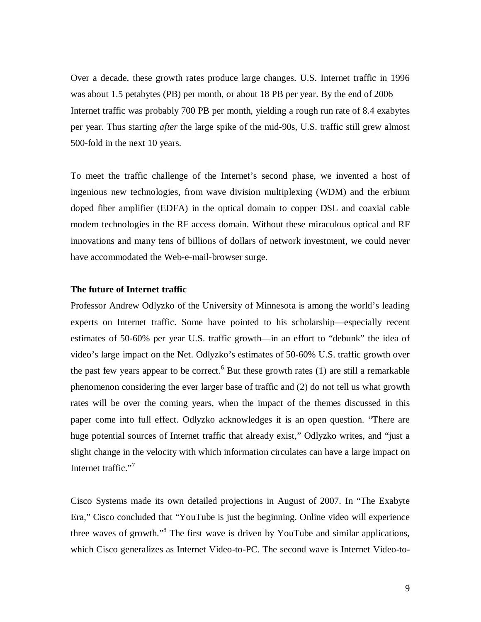Over a decade, these growth rates produce large changes. U.S. Internet traffic in 1996 was about 1.5 petabytes (PB) per month, or about 18 PB per year. By the end of 2006 Internet traffic was probably 700 PB per month, yielding a rough run rate of 8.4 exabytes per year. Thus starting *after* the large spike of the mid-90s, U.S. traffic still grew almost 500-fold in the next 10 years.

To meet the traffic challenge of the Internet's second phase, we invented a host of ingenious new technologies, from wave division multiplexing (WDM) and the erbium doped fiber amplifier (EDFA) in the optical domain to copper DSL and coaxial cable modem technologies in the RF access domain. Without these miraculous optical and RF innovations and many tens of billions of dollars of network investment, we could never have accommodated the Web-e-mail-browser surge.

# **The future of Internet traffic**

Professor Andrew Odlyzko of the University of Minnesota is among the world's leading experts on Internet traffic. Some have pointed to his scholarship—especially recent estimates of 50-60% per year U.S. traffic growth—in an effort to "debunk" the idea of video's large impact on the Net. Odlyzko's estimates of 50-60% U.S. traffic growth over the past few years appear to be correct.<sup>6</sup> But these growth rates  $(1)$  are still a remarkable phenomenon considering the ever larger base of traffic and (2) do not tell us what growth rates will be over the coming years, when the impact of the themes discussed in this paper come into full effect. Odlyzko acknowledges it is an open question. "There are huge potential sources of Internet traffic that already exist," Odlyzko writes, and "just a slight change in the velocity with which information circulates can have a large impact on Internet traffic."<sup>7</sup>

Cisco Systems made its own detailed projections in August of 2007. In "The Exabyte Era," Cisco concluded that "YouTube is just the beginning. Online video will experience three waves of growth."<sup>8</sup> The first wave is driven by YouTube and similar applications, which Cisco generalizes as Internet Video-to-PC. The second wave is Internet Video-to-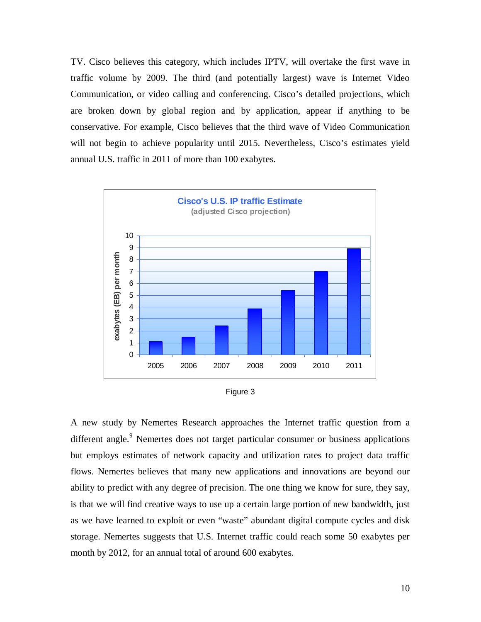TV. Cisco believes this category, which includes IPTV, will overtake the first wave in traffic volume by 2009. The third (and potentially largest) wave is Internet Video Communication, or video calling and conferencing. Cisco's detailed projections, which are broken down by global region and by application, appear if anything to be conservative. For example, Cisco believes that the third wave of Video Communication will not begin to achieve popularity until 2015. Nevertheless, Cisco's estimates yield annual U.S. traffic in 2011 of more than 100 exabytes.



| raure : |  |
|---------|--|
|         |  |

A new study by Nemertes Research approaches the Internet traffic question from a different angle.<sup>9</sup> Nemertes does not target particular consumer or business applications but employs estimates of network capacity and utilization rates to project data traffic flows. Nemertes believes that many new applications and innovations are beyond our ability to predict with any degree of precision. The one thing we know for sure, they say, is that we will find creative ways to use up a certain large portion of new bandwidth, just as we have learned to exploit or even "waste" abundant digital compute cycles and disk storage. Nemertes suggests that U.S. Internet traffic could reach some 50 exabytes per month by 2012, for an annual total of around 600 exabytes.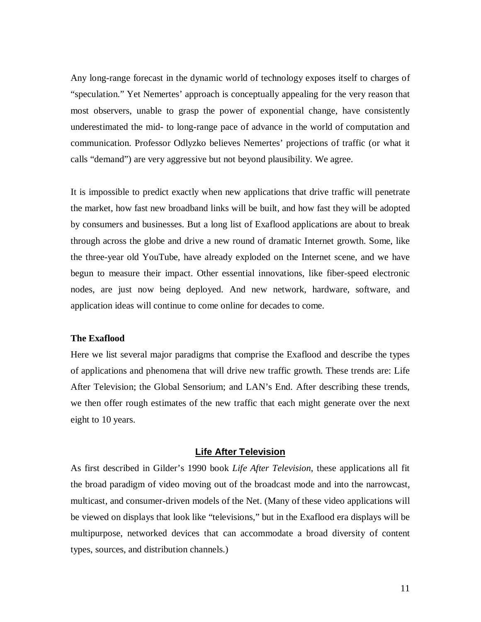Any long-range forecast in the dynamic world of technology exposes itself to charges of "speculation." Yet Nemertes' approach is conceptually appealing for the very reason that most observers, unable to grasp the power of exponential change, have consistently underestimated the mid- to long-range pace of advance in the world of computation and communication. Professor Odlyzko believes Nemertes' projections of traffic (or what it calls "demand") are very aggressive but not beyond plausibility. We agree.

It is impossible to predict exactly when new applications that drive traffic will penetrate the market, how fast new broadband links will be built, and how fast they will be adopted by consumers and businesses. But a long list of Exaflood applications are about to break through across the globe and drive a new round of dramatic Internet growth. Some, like the three-year old YouTube, have already exploded on the Internet scene, and we have begun to measure their impact. Other essential innovations, like fiber-speed electronic nodes, are just now being deployed. And new network, hardware, software, and application ideas will continue to come online for decades to come.

# **The Exaflood**

Here we list several major paradigms that comprise the Exaflood and describe the types of applications and phenomena that will drive new traffic growth. These trends are: Life After Television; the Global Sensorium; and LAN's End. After describing these trends, we then offer rough estimates of the new traffic that each might generate over the next eight to 10 years.

#### **Life After Television**

As first described in Gilder's 1990 book *Life After Television*, these applications all fit the broad paradigm of video moving out of the broadcast mode and into the narrowcast, multicast, and consumer-driven models of the Net. (Many of these video applications will be viewed on displays that look like "televisions," but in the Exaflood era displays will be multipurpose, networked devices that can accommodate a broad diversity of content types, sources, and distribution channels.)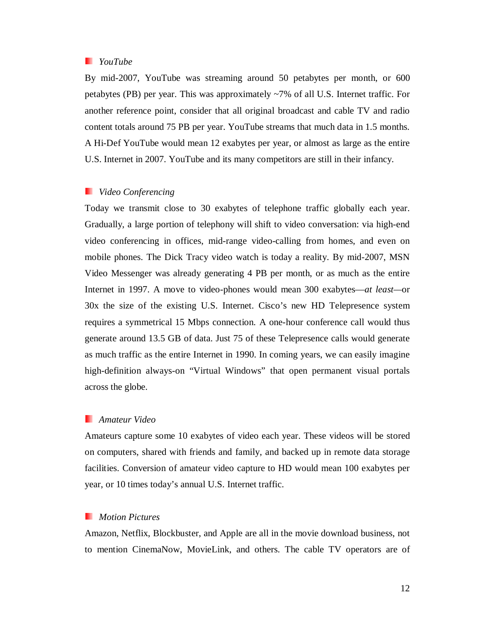# *YouTube*

By mid-2007, YouTube was streaming around 50 petabytes per month, or 600 petabytes (PB) per year. This was approximately ~7% of all U.S. Internet traffic. For another reference point, consider that all original broadcast and cable TV and radio content totals around 75 PB per year. YouTube streams that much data in 1.5 months. A Hi-Def YouTube would mean 12 exabytes per year, or almost as large as the entire U.S. Internet in 2007. YouTube and its many competitors are still in their infancy.

# *Video Conferencing*

Today we transmit close to 30 exabytes of telephone traffic globally each year. Gradually, a large portion of telephony will shift to video conversation: via high-end video conferencing in offices, mid-range video-calling from homes, and even on mobile phones. The Dick Tracy video watch is today a reality. By mid-2007, MSN Video Messenger was already generating 4 PB per month, or as much as the entire Internet in 1997. A move to video-phones would mean 300 exabytes—*at least—*or 30x the size of the existing U.S. Internet. Cisco's new HD Telepresence system requires a symmetrical 15 Mbps connection. A one-hour conference call would thus generate around 13.5 GB of data. Just 75 of these Telepresence calls would generate as much traffic as the entire Internet in 1990. In coming years, we can easily imagine high-definition always-on "Virtual Windows" that open permanent visual portals across the globe.

# *Amateur Video*

Amateurs capture some 10 exabytes of video each year. These videos will be stored on computers, shared with friends and family, and backed up in remote data storage facilities. Conversion of amateur video capture to HD would mean 100 exabytes per year, or 10 times today's annual U.S. Internet traffic.

# *Motion Pictures*

Amazon, Netflix, Blockbuster, and Apple are all in the movie download business, not to mention CinemaNow, MovieLink, and others. The cable TV operators are of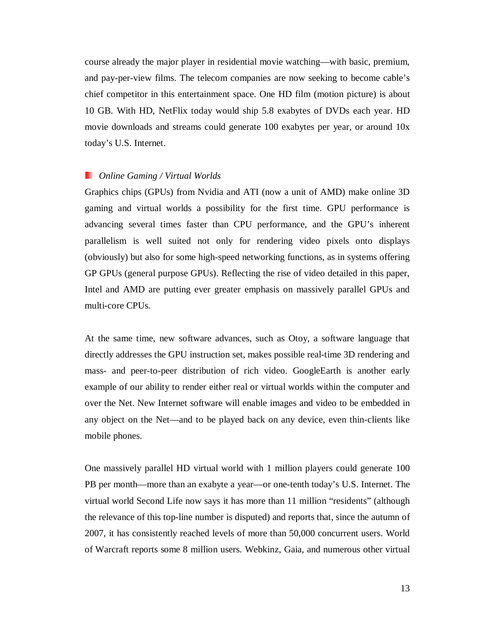course already the major player in residential movie watching—with basic, premium, and pay-per-view films. The telecom companies are now seeking to become cable's chief competitor in this entertainment space. One HD film (motion picture) is about 10 GB. With HD, NetFlix today would ship 5.8 exabytes of DVDs each year. HD movie downloads and streams could generate 100 exabytes per year, or around 10x today's U.S. Internet.

# *Online Gaming / Virtual Worlds*

Graphics chips (GPUs) from Nvidia and ATI (now a unit of AMD) make online 3D gaming and virtual worlds a possibility for the first time. GPU performance is advancing several times faster than CPU performance, and the GPU's inherent parallelism is well suited not only for rendering video pixels onto displays (obviously) but also for some high-speed networking functions, as in systems offering GP GPUs (general purpose GPUs). Reflecting the rise of video detailed in this paper, Intel and AMD are putting ever greater emphasis on massively parallel GPUs and multi-core CPUs.

At the same time, new software advances, such as Otoy, a software language that directly addresses the GPU instruction set, makes possible real-time 3D rendering and mass- and peer-to-peer distribution of rich video. GoogleEarth is another early example of our ability to render either real or virtual worlds within the computer and over the Net. New Internet software will enable images and video to be embedded in any object on the Net—and to be played back on any device, even thin-clients like mobile phones.

One massively parallel HD virtual world with 1 million players could generate 100 PB per month—more than an exabyte a year—or one-tenth today's U.S. Internet. The virtual world Second Life now says it has more than 11 million "residents" (although the relevance of this top-line number is disputed) and reports that, since the autumn of 2007, it has consistently reached levels of more than 50,000 concurrent users. World of Warcraft reports some 8 million users. Webkinz, Gaia, and numerous other virtual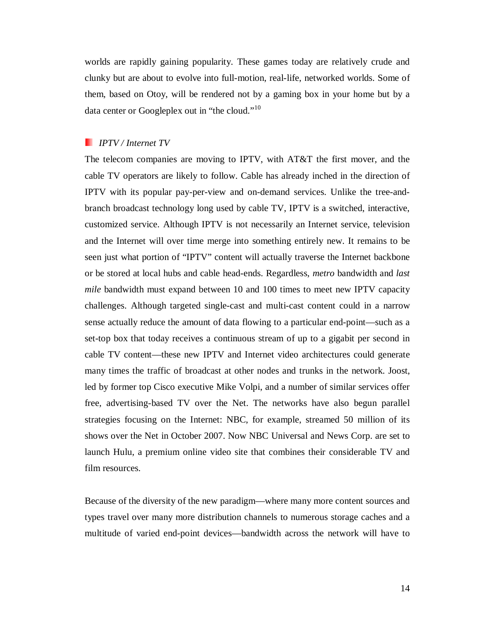worlds are rapidly gaining popularity. These games today are relatively crude and clunky but are about to evolve into full-motion, real-life, networked worlds. Some of them, based on Otoy, will be rendered not by a gaming box in your home but by a data center or Googleplex out in "the cloud."<sup>10</sup>

# *IPTV / Internet TV*

The telecom companies are moving to IPTV, with AT&T the first mover, and the cable TV operators are likely to follow. Cable has already inched in the direction of IPTV with its popular pay-per-view and on-demand services. Unlike the tree-andbranch broadcast technology long used by cable TV, IPTV is a switched, interactive, customized service. Although IPTV is not necessarily an Internet service, television and the Internet will over time merge into something entirely new. It remains to be seen just what portion of "IPTV" content will actually traverse the Internet backbone or be stored at local hubs and cable head-ends. Regardless, *metro* bandwidth and *last mile* bandwidth must expand between 10 and 100 times to meet new IPTV capacity challenges. Although targeted single-cast and multi-cast content could in a narrow sense actually reduce the amount of data flowing to a particular end-point—such as a set-top box that today receives a continuous stream of up to a gigabit per second in cable TV content—these new IPTV and Internet video architectures could generate many times the traffic of broadcast at other nodes and trunks in the network. Joost, led by former top Cisco executive Mike Volpi, and a number of similar services offer free, advertising-based TV over the Net. The networks have also begun parallel strategies focusing on the Internet: NBC, for example, streamed 50 million of its shows over the Net in October 2007. Now NBC Universal and News Corp. are set to launch Hulu, a premium online video site that combines their considerable TV and film resources.

Because of the diversity of the new paradigm—where many more content sources and types travel over many more distribution channels to numerous storage caches and a multitude of varied end-point devices—bandwidth across the network will have to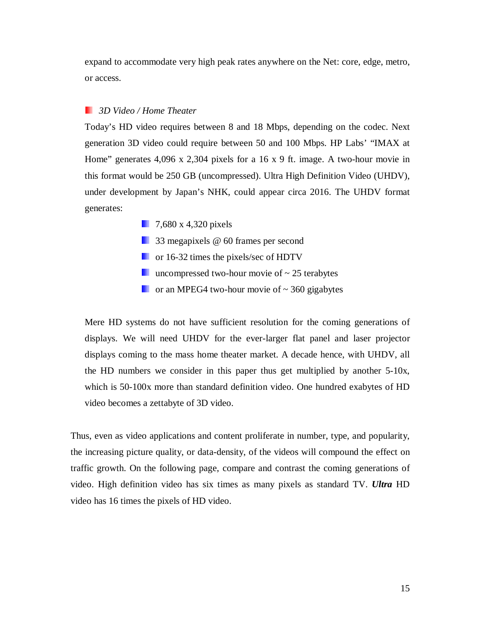expand to accommodate very high peak rates anywhere on the Net: core, edge, metro, or access.

# *3D Video / Home Theater*

Today's HD video requires between 8 and 18 Mbps, depending on the codec. Next generation 3D video could require between 50 and 100 Mbps. HP Labs' "IMAX at Home" generates 4,096 x 2,304 pixels for a 16 x 9 ft. image. A two-hour movie in this format would be 250 GB (uncompressed). Ultra High Definition Video (UHDV), under development by Japan's NHK, could appear circa 2016. The UHDV format generates:

- **7,680 x 4,320 pixels**
- 33 megapixels @ 60 frames per second
- **For** 16-32 times the pixels/sec of HDTV
- **uncompressed two-hour movie of**  $\sim$  **25 terabytes**
- $\blacksquare$  or an MPEG4 two-hour movie of  $\sim$  360 gigabytes

Mere HD systems do not have sufficient resolution for the coming generations of displays. We will need UHDV for the ever-larger flat panel and laser projector displays coming to the mass home theater market. A decade hence, with UHDV, all the HD numbers we consider in this paper thus get multiplied by another 5-10x, which is 50-100x more than standard definition video. One hundred exabytes of HD video becomes a zettabyte of 3D video.

Thus, even as video applications and content proliferate in number, type, and popularity, the increasing picture quality, or data-density, of the videos will compound the effect on traffic growth. On the following page, compare and contrast the coming generations of video. High definition video has six times as many pixels as standard TV. *Ultra* HD video has 16 times the pixels of HD video.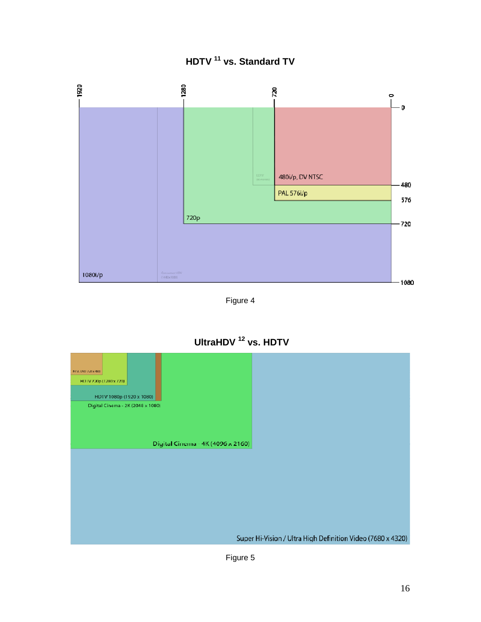# **HDTV 11 vs. Standard TV**



Figure 4

**UltraHDV 12 vs. HDTV** 



Figure 5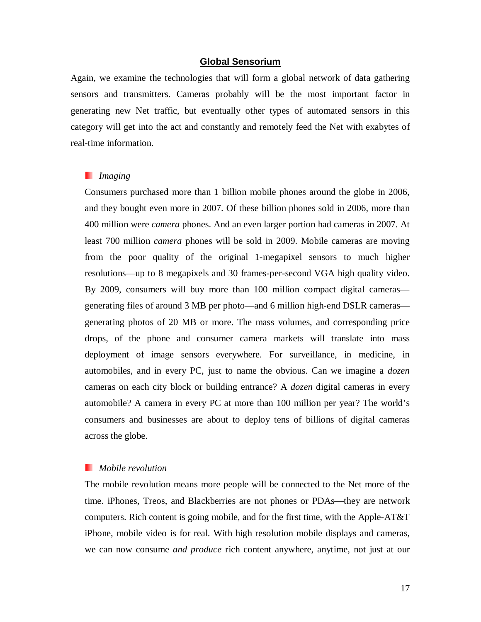# **Global Sensorium**

Again, we examine the technologies that will form a global network of data gathering sensors and transmitters. Cameras probably will be the most important factor in generating new Net traffic, but eventually other types of automated sensors in this category will get into the act and constantly and remotely feed the Net with exabytes of real-time information.

# *Imaging*

Consumers purchased more than 1 billion mobile phones around the globe in 2006, and they bought even more in 2007. Of these billion phones sold in 2006, more than 400 million were *camera* phones. And an even larger portion had cameras in 2007. At least 700 million *camera* phones will be sold in 2009. Mobile cameras are moving from the poor quality of the original 1-megapixel sensors to much higher resolutions—up to 8 megapixels and 30 frames-per-second VGA high quality video. By 2009, consumers will buy more than 100 million compact digital cameras generating files of around 3 MB per photo—and 6 million high-end DSLR cameras generating photos of 20 MB or more. The mass volumes, and corresponding price drops, of the phone and consumer camera markets will translate into mass deployment of image sensors everywhere. For surveillance, in medicine, in automobiles, and in every PC, just to name the obvious. Can we imagine a *dozen* cameras on each city block or building entrance? A *dozen* digital cameras in every automobile? A camera in every PC at more than 100 million per year? The world's consumers and businesses are about to deploy tens of billions of digital cameras across the globe.

# *Mobile revolution*

The mobile revolution means more people will be connected to the Net more of the time. iPhones, Treos, and Blackberries are not phones or PDAs—they are network computers. Rich content is going mobile, and for the first time, with the Apple-AT&T iPhone, mobile video is for real. With high resolution mobile displays and cameras, we can now consume *and produce* rich content anywhere, anytime, not just at our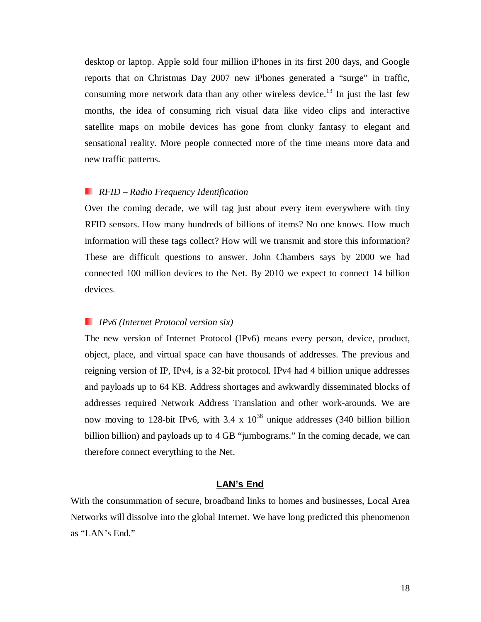desktop or laptop. Apple sold four million iPhones in its first 200 days, and Google reports that on Christmas Day 2007 new iPhones generated a "surge" in traffic, consuming more network data than any other wireless device.<sup>13</sup> In just the last few months, the idea of consuming rich visual data like video clips and interactive satellite maps on mobile devices has gone from clunky fantasy to elegant and sensational reality. More people connected more of the time means more data and new traffic patterns.

# *RFID – Radio Frequency Identification*

Over the coming decade, we will tag just about every item everywhere with tiny RFID sensors. How many hundreds of billions of items? No one knows. How much information will these tags collect? How will we transmit and store this information? These are difficult questions to answer. John Chambers says by 2000 we had connected 100 million devices to the Net. By 2010 we expect to connect 14 billion devices.

# *IPv6 (Internet Protocol version six)*

The new version of Internet Protocol (IPv6) means every person, device, product, object, place, and virtual space can have thousands of addresses. The previous and reigning version of IP, IPv4, is a 32-bit protocol. IPv4 had 4 billion unique addresses and payloads up to 64 KB. Address shortages and awkwardly disseminated blocks of addresses required Network Address Translation and other work-arounds. We are now moving to 128-bit IPv6, with  $3.4 \times 10^{38}$  unique addresses (340 billion billion billion billion) and payloads up to 4 GB "jumbograms." In the coming decade, we can therefore connect everything to the Net.

# **LAN's End**

With the consummation of secure, broadband links to homes and businesses, Local Area Networks will dissolve into the global Internet. We have long predicted this phenomenon as "LAN's End."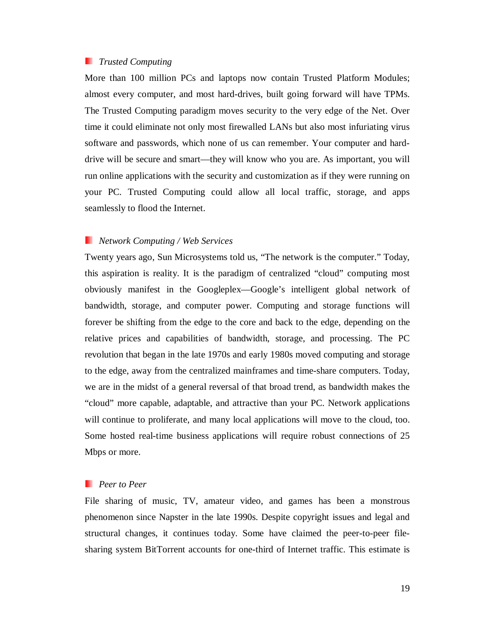# *Trusted Computing*

More than 100 million PCs and laptops now contain Trusted Platform Modules; almost every computer, and most hard-drives, built going forward will have TPMs. The Trusted Computing paradigm moves security to the very edge of the Net. Over time it could eliminate not only most firewalled LANs but also most infuriating virus software and passwords, which none of us can remember. Your computer and harddrive will be secure and smart—they will know who you are. As important, you will run online applications with the security and customization as if they were running on your PC. Trusted Computing could allow all local traffic, storage, and apps seamlessly to flood the Internet.

#### *Network Computing / Web Services*

Twenty years ago, Sun Microsystems told us, "The network is the computer." Today, this aspiration is reality. It is the paradigm of centralized "cloud" computing most obviously manifest in the Googleplex—Google's intelligent global network of bandwidth, storage, and computer power. Computing and storage functions will forever be shifting from the edge to the core and back to the edge, depending on the relative prices and capabilities of bandwidth, storage, and processing. The PC revolution that began in the late 1970s and early 1980s moved computing and storage to the edge, away from the centralized mainframes and time-share computers. Today, we are in the midst of a general reversal of that broad trend, as bandwidth makes the "cloud" more capable, adaptable, and attractive than your PC. Network applications will continue to proliferate, and many local applications will move to the cloud, too. Some hosted real-time business applications will require robust connections of 25 Mbps or more.

# *Peer to Peer*

File sharing of music, TV, amateur video, and games has been a monstrous phenomenon since Napster in the late 1990s. Despite copyright issues and legal and structural changes, it continues today. Some have claimed the peer-to-peer filesharing system BitTorrent accounts for one-third of Internet traffic. This estimate is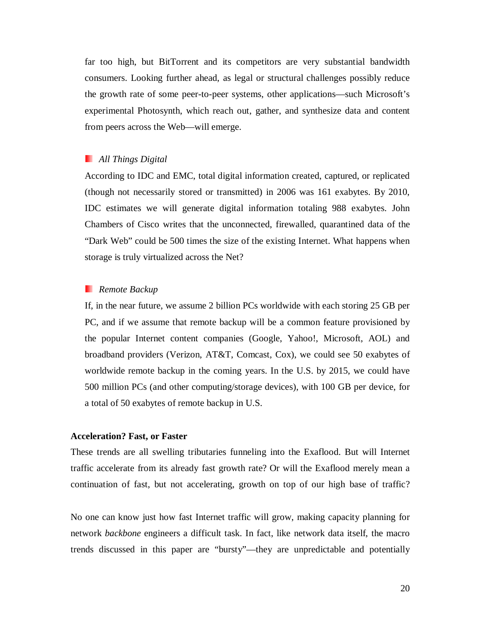far too high, but BitTorrent and its competitors are very substantial bandwidth consumers. Looking further ahead, as legal or structural challenges possibly reduce the growth rate of some peer-to-peer systems, other applications—such Microsoft's experimental Photosynth, which reach out, gather, and synthesize data and content from peers across the Web—will emerge.

# *All Things Digital*

According to IDC and EMC, total digital information created, captured, or replicated (though not necessarily stored or transmitted) in 2006 was 161 exabytes. By 2010, IDC estimates we will generate digital information totaling 988 exabytes. John Chambers of Cisco writes that the unconnected, firewalled, quarantined data of the "Dark Web" could be 500 times the size of the existing Internet. What happens when storage is truly virtualized across the Net?

# *Remote Backup*

If, in the near future, we assume 2 billion PCs worldwide with each storing 25 GB per PC, and if we assume that remote backup will be a common feature provisioned by the popular Internet content companies (Google, Yahoo!, Microsoft, AOL) and broadband providers (Verizon, AT&T, Comcast, Cox), we could see 50 exabytes of worldwide remote backup in the coming years. In the U.S. by 2015, we could have 500 million PCs (and other computing/storage devices), with 100 GB per device, for a total of 50 exabytes of remote backup in U.S.

# **Acceleration? Fast, or Faster**

These trends are all swelling tributaries funneling into the Exaflood. But will Internet traffic accelerate from its already fast growth rate? Or will the Exaflood merely mean a continuation of fast, but not accelerating, growth on top of our high base of traffic?

No one can know just how fast Internet traffic will grow, making capacity planning for network *backbone* engineers a difficult task. In fact, like network data itself, the macro trends discussed in this paper are "bursty"—they are unpredictable and potentially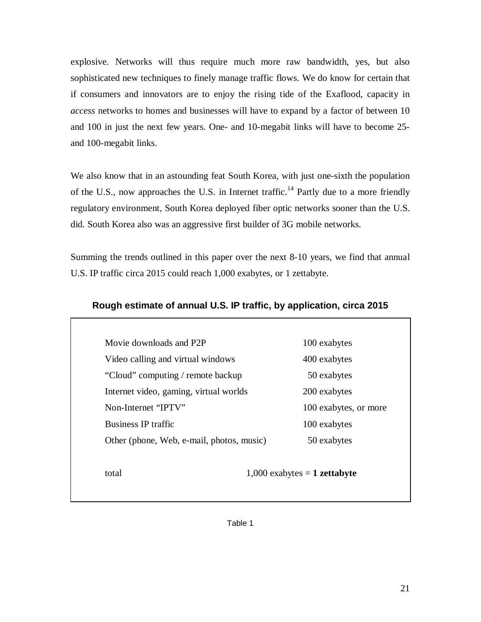explosive. Networks will thus require much more raw bandwidth, yes, but also sophisticated new techniques to finely manage traffic flows. We do know for certain that if consumers and innovators are to enjoy the rising tide of the Exaflood, capacity in *access* networks to homes and businesses will have to expand by a factor of between 10 and 100 in just the next few years. One- and 10-megabit links will have to become 25 and 100-megabit links.

We also know that in an astounding feat South Korea, with just one-sixth the population of the U.S., now approaches the U.S. in Internet traffic.<sup>14</sup> Partly due to a more friendly regulatory environment, South Korea deployed fiber optic networks sooner than the U.S. did. South Korea also was an aggressive first builder of 3G mobile networks.

Summing the trends outlined in this paper over the next 8-10 years, we find that annual U.S. IP traffic circa 2015 could reach 1,000 exabytes, or 1 zettabyte.

| Movie downloads and P2P                   | 100 exabytes          |
|-------------------------------------------|-----------------------|
|                                           |                       |
| Video calling and virtual windows         | 400 exabytes          |
| "Cloud" computing / remote backup         | 50 exabytes           |
| Internet video, gaming, virtual worlds    | 200 exabytes          |
| Non-Internet "IPTV"                       | 100 exabytes, or more |
| <b>Business IP traffic</b>                | 100 exabytes          |
| Other (phone, Web, e-mail, photos, music) | 50 exabytes           |

# **Rough estimate of annual U.S. IP traffic, by application, circa 2015**

Table 1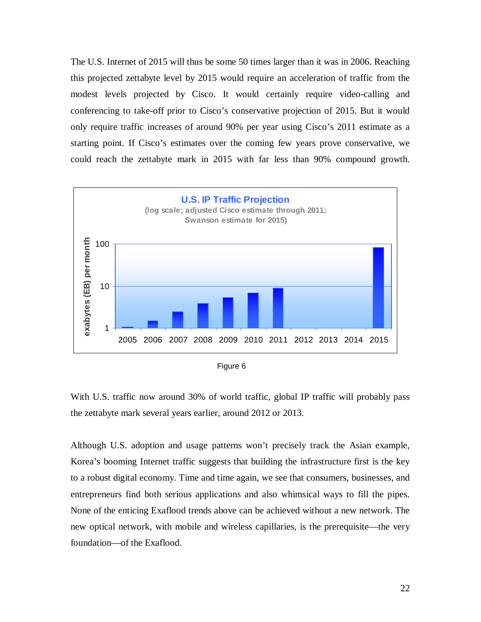The U.S. Internet of 2015 will thus be some 50 times larger than it was in 2006. Reaching this projected zettabyte level by 2015 would require an acceleration of traffic from the modest levels projected by Cisco. It would certainly require video-calling and conferencing to take-off prior to Cisco's conservative projection of 2015. But it would only require traffic increases of around 90% per year using Cisco's 2011 estimate as a starting point. If Cisco's estimates over the coming few years prove conservative, we could reach the zettabyte mark in 2015 with far less than 90% compound growth.



Figure 6

With U.S. traffic now around 30% of world traffic, global IP traffic will probably pass the zettabyte mark several years earlier, around 2012 or 2013.

Although U.S. adoption and usage patterns won't precisely track the Asian example, Korea's booming Internet traffic suggests that building the infrastructure first is the key to a robust digital economy. Time and time again, we see that consumers, businesses, and entrepreneurs find both serious applications and also whimsical ways to fill the pipes. None of the enticing Exaflood trends above can be achieved without a new network. The new optical network, with mobile and wireless capillaries, is the prerequisite—the very foundation—of the Exaflood.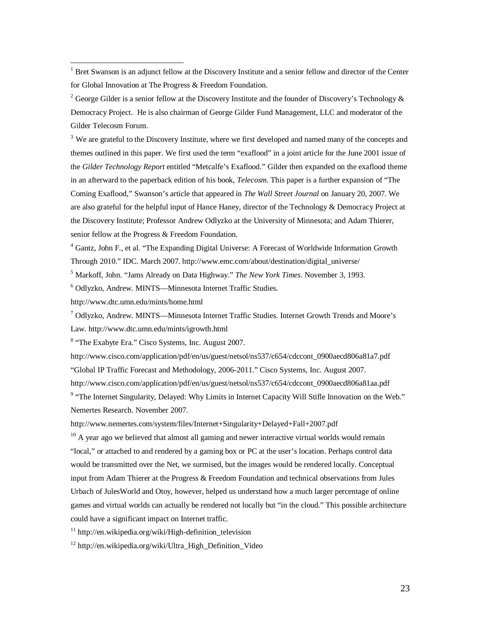<sup>1</sup> Bret Swanson is an adjunct fellow at the Discovery Institute and a senior fellow and director of the Center for Global Innovation at The Progress & Freedom Foundation.

<sup>2</sup> George Gilder is a senior fellow at the Discovery Institute and the founder of Discovery's Technology  $\&$ Democracy Project. He is also chairman of George Gilder Fund Management, LLC and moderator of the Gilder Telecosm Forum.

 $3$  We are grateful to the Discovery Institute, where we first developed and named many of the concepts and themes outlined in this paper. We first used the term "exaflood" in a joint article for the June 2001 issue of the *Gilder Technology Report* entitled "Metcalfe's Exaflood." Gilder then expanded on the exaflood theme in an afterward to the paperback edition of his book, *Telecosm*. This paper is a further expansion of "The Coming Exaflood," Swanson's article that appeared in *The Wall Street Journal* on January 20, 2007. We are also grateful for the helpful input of Hance Haney, director of the Technology & Democracy Project at the Discovery Institute; Professor Andrew Odlyzko at the University of Minnesota; and Adam Thierer, senior fellow at the Progress & Freedom Foundation.

<sup>4</sup> Gantz, John F., et al. "The Expanding Digital Universe: A Forecast of Worldwide Information Growth Through 2010." IDC. March 2007. http://www.emc.com/about/destination/digital\_universe/

5 Markoff, John. "Jams Already on Data Highway." *The New York Times*. November 3, 1993.

6 Odlyzko, Andrew. MINTS—Minnesota Internet Traffic Studies.

http://www.dtc.umn.edu/mints/home.html

-

7 Odlyzko, Andrew. MINTS—Minnesota Internet Traffic Studies. Internet Growth Trends and Moore's Law. http://www.dtc.umn.edu/mints/igrowth.html

<sup>8</sup> "The Exabyte Era." Cisco Systems, Inc. August 2007.

http://www.cisco.com/application/pdf/en/us/guest/netsol/ns537/c654/cdccont\_0900aecd806a81a7.pdf "Global IP Traffic Forecast and Methodology, 2006-2011." Cisco Systems, Inc. August 2007.

http://www.cisco.com/application/pdf/en/us/guest/netsol/ns537/c654/cdccont\_0900aecd806a81aa.pdf

<sup>9</sup> "The Internet Singularity, Delayed: Why Limits in Internet Capacity Will Stifle Innovation on the Web." Nemertes Research. November 2007.

http://www.nemertes.com/system/files/Internet+Singularity+Delayed+Fall+2007.pdf

 $10$  A year ago we believed that almost all gaming and newer interactive virtual worlds would remain "local," or attached to and rendered by a gaming box or PC at the user's location. Perhaps control data would be transmitted over the Net, we surmised, but the images would be rendered locally. Conceptual input from Adam Thierer at the Progress & Freedom Foundation and technical observations from Jules Urbach of JulesWorld and Otoy, however, helped us understand how a much larger percentage of online games and virtual worlds can actually be rendered not locally but "in the cloud." This possible architecture could have a significant impact on Internet traffic.

 $11$  http://en.wikipedia.org/wiki/High-definition television

<sup>12</sup> http://en.wikipedia.org/wiki/Ultra\_High\_Definition\_Video